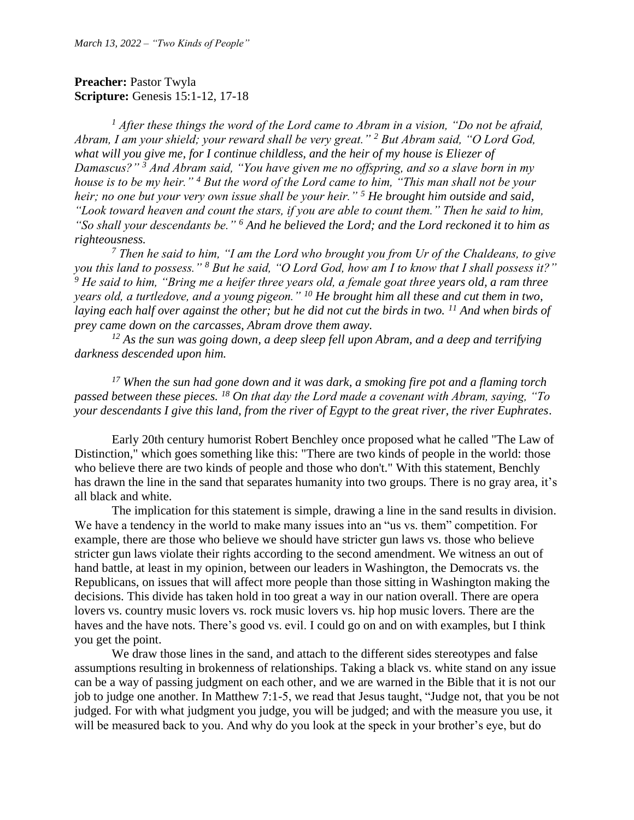## **Preacher: Pastor Twyla Scripture:** Genesis 15:1-12, 17-18

*<sup>1</sup> After these things the word of the Lord came to Abram in a vision, "Do not be afraid, Abram, I am your shield; your reward shall be very great." <sup>2</sup> But Abram said, "O Lord God, what will you give me, for I continue childless, and the heir of my house is Eliezer of Damascus?" <sup>3</sup> And Abram said, "You have given me no offspring, and so a slave born in my house is to be my heir." <sup>4</sup> But the word of the Lord came to him, "This man shall not be your heir; no one but your very own issue shall be your heir." <sup>5</sup> He brought him outside and said, "Look toward heaven and count the stars, if you are able to count them." Then he said to him, "So shall your descendants be." <sup>6</sup> And he believed the Lord; and the Lord reckoned it to him as righteousness.*

*<sup>7</sup> Then he said to him, "I am the Lord who brought you from Ur of the Chaldeans, to give you this land to possess." <sup>8</sup> But he said, "O Lord God, how am I to know that I shall possess it?" <sup>9</sup> He said to him, "Bring me a heifer three years old, a female goat three years old, a ram three years old, a turtledove, and a young pigeon." <sup>10</sup> He brought him all these and cut them in two, laying each half over against the other; but he did not cut the birds in two. <sup>11</sup> And when birds of prey came down on the carcasses, Abram drove them away.*

*<sup>12</sup> As the sun was going down, a deep sleep fell upon Abram, and a deep and terrifying darkness descended upon him.*

*<sup>17</sup> When the sun had gone down and it was dark, a smoking fire pot and a flaming torch passed between these pieces. <sup>18</sup> On that day the Lord made a covenant with Abram, saying, "To your descendants I give this land, from the river of Egypt to the great river, the river Euphrates.*

Early 20th century humorist Robert Benchley once proposed what he called "The Law of Distinction," which goes something like this: "There are two kinds of people in the world: those who believe there are two kinds of people and those who don't." With this statement, Benchly has drawn the line in the sand that separates humanity into two groups. There is no gray area, it's all black and white.

The implication for this statement is simple, drawing a line in the sand results in division. We have a tendency in the world to make many issues into an "us vs. them" competition. For example, there are those who believe we should have stricter gun laws vs. those who believe stricter gun laws violate their rights according to the second amendment. We witness an out of hand battle, at least in my opinion, between our leaders in Washington, the Democrats vs. the Republicans, on issues that will affect more people than those sitting in Washington making the decisions. This divide has taken hold in too great a way in our nation overall. There are opera lovers vs. country music lovers vs. rock music lovers vs. hip hop music lovers. There are the haves and the have nots. There's good vs. evil. I could go on and on with examples, but I think you get the point.

We draw those lines in the sand, and attach to the different sides stereotypes and false assumptions resulting in brokenness of relationships. Taking a black vs. white stand on any issue can be a way of passing judgment on each other, and we are warned in the Bible that it is not our job to judge one another. In Matthew 7:1-5, we read that Jesus taught, "Judge not, that you be not judged. For with what judgment you judge, you will be judged; and with the measure you use, it will be measured back to you. And why do you look at the speck in your brother's eye, but do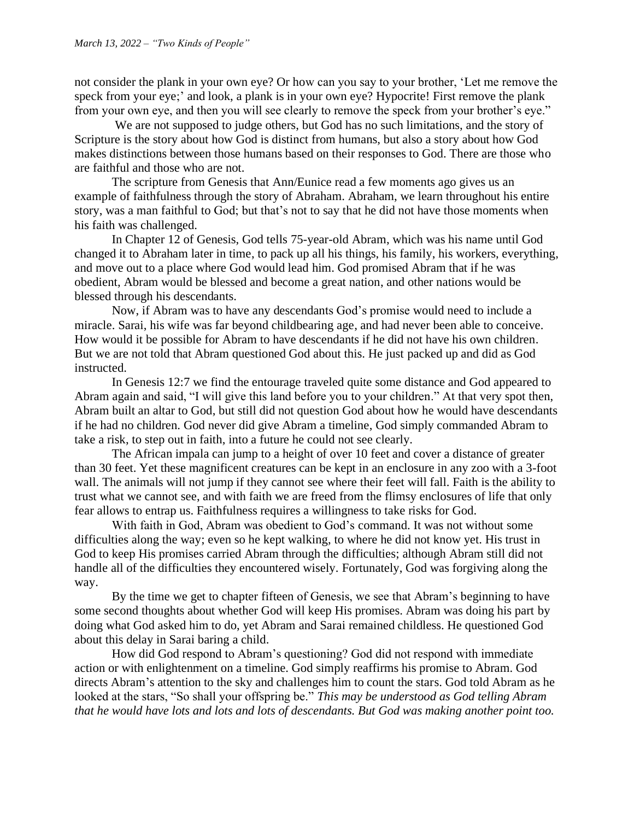not consider the plank in your own eye? Or how can you say to your brother, 'Let me remove the speck from your eye;' and look, a plank is in your own eye? Hypocrite! First remove the plank from your own eye, and then you will see clearly to remove the speck from your brother's eye."

We are not supposed to judge others, but God has no such limitations, and the story of Scripture is the story about how God is distinct from humans, but also a story about how God makes distinctions between those humans based on their responses to God. There are those who are faithful and those who are not.

The scripture from Genesis that Ann/Eunice read a few moments ago gives us an example of faithfulness through the story of Abraham. Abraham, we learn throughout his entire story, was a man faithful to God; but that's not to say that he did not have those moments when his faith was challenged.

In Chapter 12 of Genesis, God tells 75-year-old Abram, which was his name until God changed it to Abraham later in time, to pack up all his things, his family, his workers, everything, and move out to a place where God would lead him. God promised Abram that if he was obedient, Abram would be blessed and become a great nation, and other nations would be blessed through his descendants.

Now, if Abram was to have any descendants God's promise would need to include a miracle. Sarai, his wife was far beyond childbearing age, and had never been able to conceive. How would it be possible for Abram to have descendants if he did not have his own children. But we are not told that Abram questioned God about this. He just packed up and did as God instructed.

In Genesis 12:7 we find the entourage traveled quite some distance and God appeared to Abram again and said, "I will give this land before you to your children." At that very spot then, Abram built an altar to God, but still did not question God about how he would have descendants if he had no children. God never did give Abram a timeline, God simply commanded Abram to take a risk, to step out in faith, into a future he could not see clearly.

The African impala can jump to a height of over 10 feet and cover a distance of greater than 30 feet. Yet these magnificent creatures can be kept in an enclosure in any zoo with a 3-foot wall. The animals will not jump if they cannot see where their feet will fall. Faith is the ability to trust what we cannot see, and with faith we are freed from the flimsy enclosures of life that only fear allows to entrap us. Faithfulness requires a willingness to take risks for God.

With faith in God, Abram was obedient to God's command. It was not without some difficulties along the way; even so he kept walking, to where he did not know yet. His trust in God to keep His promises carried Abram through the difficulties; although Abram still did not handle all of the difficulties they encountered wisely. Fortunately, God was forgiving along the way.

By the time we get to chapter fifteen of Genesis, we see that Abram's beginning to have some second thoughts about whether God will keep His promises. Abram was doing his part by doing what God asked him to do, yet Abram and Sarai remained childless. He questioned God about this delay in Sarai baring a child.

How did God respond to Abram's questioning? God did not respond with immediate action or with enlightenment on a timeline. God simply reaffirms his promise to Abram. God directs Abram's attention to the sky and challenges him to count the stars. God told Abram as he looked at the stars, "So shall your offspring be." *This may be understood as God telling Abram that he would have lots and lots and lots of descendants. But God was making another point too.*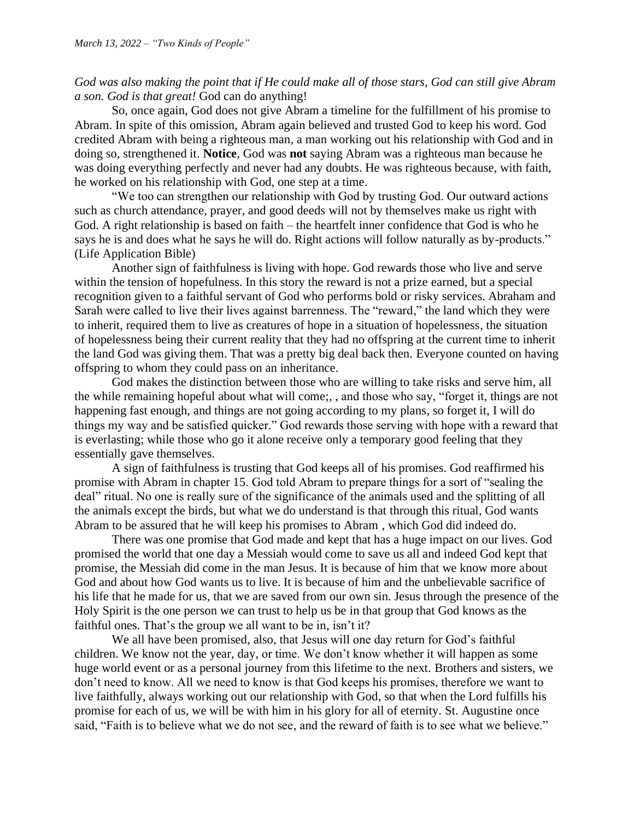*God was also making the point that if He could make all of those stars, God can still give Abram a son. God is that great!* God can do anything!

So, once again, God does not give Abram a timeline for the fulfillment of his promise to Abram. In spite of this omission, Abram again believed and trusted God to keep his word. God credited Abram with being a righteous man, a man working out his relationship with God and in doing so, strengthened it. **Notice**, God was **not** saying Abram was a righteous man because he was doing everything perfectly and never had any doubts. He was righteous because, with faith, he worked on his relationship with God, one step at a time.

"We too can strengthen our relationship with God by trusting God. Our outward actions such as church attendance, prayer, and good deeds will not by themselves make us right with God. A right relationship is based on faith – the heartfelt inner confidence that God is who he says he is and does what he says he will do. Right actions will follow naturally as by-products." (Life Application Bible)

Another sign of faithfulness is living with hope. God rewards those who live and serve within the tension of hopefulness. In this story the reward is not a prize earned, but a special recognition given to a faithful servant of God who performs bold or risky services. Abraham and Sarah were called to live their lives against barrenness. The "reward," the land which they were to inherit, required them to live as creatures of hope in a situation of hopelessness, the situation of hopelessness being their current reality that they had no offspring at the current time to inherit the land God was giving them. That was a pretty big deal back then. Everyone counted on having offspring to whom they could pass on an inheritance.

God makes the distinction between those who are willing to take risks and serve him, all the while remaining hopeful about what will come;, , and those who say, "forget it, things are not happening fast enough, and things are not going according to my plans, so forget it, I will do things my way and be satisfied quicker." God rewards those serving with hope with a reward that is everlasting; while those who go it alone receive only a temporary good feeling that they essentially gave themselves.

A sign of faithfulness is trusting that God keeps all of his promises. God reaffirmed his promise with Abram in chapter 15. God told Abram to prepare things for a sort of "sealing the deal" ritual. No one is really sure of the significance of the animals used and the splitting of all the animals except the birds, but what we do understand is that through this ritual, God wants Abram to be assured that he will keep his promises to Abram , which God did indeed do.

There was one promise that God made and kept that has a huge impact on our lives. God promised the world that one day a Messiah would come to save us all and indeed God kept that promise, the Messiah did come in the man Jesus. It is because of him that we know more about God and about how God wants us to live. It is because of him and the unbelievable sacrifice of his life that he made for us, that we are saved from our own sin. Jesus through the presence of the Holy Spirit is the one person we can trust to help us be in that group that God knows as the faithful ones. That's the group we all want to be in, isn't it?

We all have been promised, also, that Jesus will one day return for God's faithful children. We know not the year, day, or time. We don't know whether it will happen as some huge world event or as a personal journey from this lifetime to the next. Brothers and sisters, we don't need to know. All we need to know is that God keeps his promises, therefore we want to live faithfully, always working out our relationship with God, so that when the Lord fulfills his promise for each of us, we will be with him in his glory for all of eternity. St. Augustine once said, "Faith is to believe what we do not see, and the reward of faith is to see what we believe."